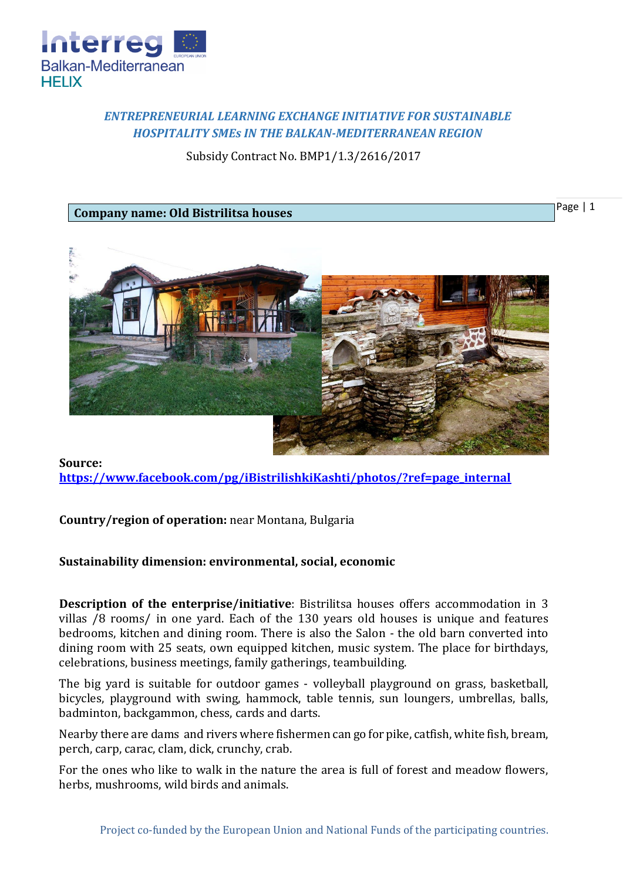

## *ENTREPRENEURIAL LEARNING EXCHANGE INITIATIVE FOR SUSTAINABLE HOSPITALITY SMEs IN THE BALKAN-MEDITERRANEAN REGION*

Subsidy Contract No. BMP1/1.3/2616/2017

**Company name: Old Bistrilitsa houses**

Page | 1



**Source: [https://www.facebook.com/pg/iBistrilishkiKashti/photos/?ref=page\\_internal](https://www.facebook.com/pg/iBistrilishkiKashti/photos/?ref=page_internal)**

**Country/region of operation:** near Montana, Bulgaria

## **Sustainability dimension: environmental, social, economic**

**Description of the enterprise/initiative**: Bistrilitsa houses offers accommodation in 3 villas /8 rooms/ in one yard. Each of the 130 years old houses is unique and features bedrooms, kitchen and dining room. There is also the Salon - the old barn converted into dining room with 25 seats, own equipped kitchen, music system. The place for birthdays, celebrations, business meetings, family gatherings, teambuilding.

The big yard is suitable for outdoor games - volleyball playground on grass, basketball, bicycles, playground with swing, hammock, table tennis, sun loungers, umbrellas, balls, badminton, backgammon, chess, cards and darts.

Nearby there are dams and rivers where fishermen can go for pike, catfish, white fish, bream, perch, carp, carac, clam, dick, crunchy, crab.

For the ones who like to walk in the nature the area is full of forest and meadow flowers, herbs, mushrooms, wild birds and animals.